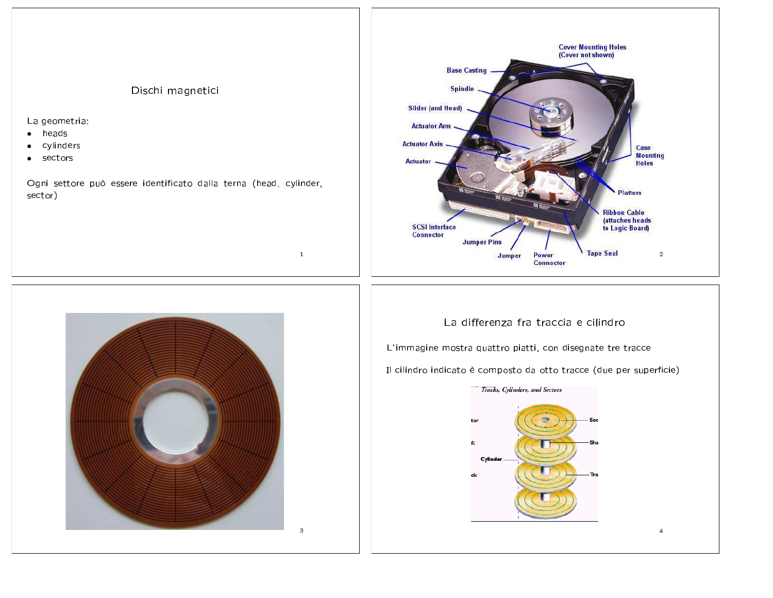## Dischi magnetici

La geometria:

- heads  $\bullet$
- cylinders  $\bullet$
- sectors  $\bullet$

Ogni settore può essere identificato dalla terna (head, cylinder, sector)

 $\mathbf{1}$ 





## La differenza fra traccia e cilindro

L'immagine mostra quattro piatti, con disegnate tre tracce

Il cilindro indicato è composto da otto tracce (due per superficie)



 $\overline{4}$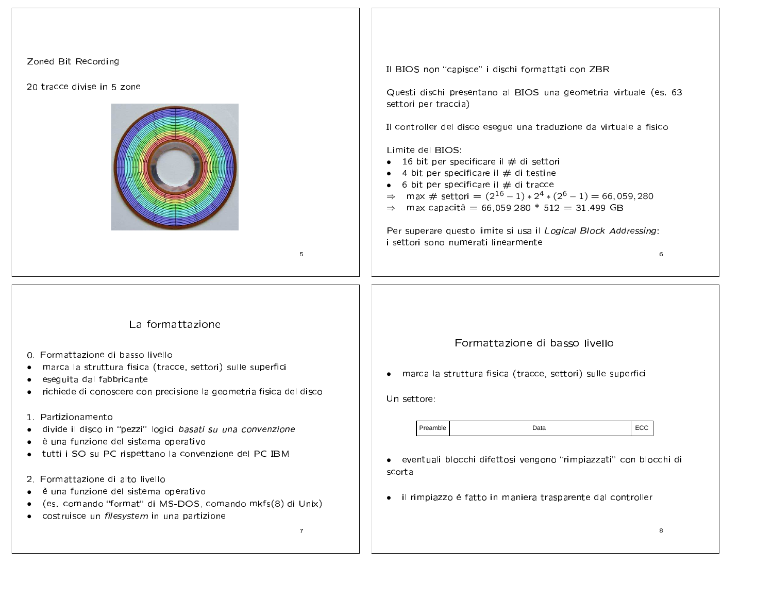| Zoned Bit Recording<br>20 tracce divise in 5 zone<br>5                                                                                                                                                                                                                                                                                                                                                                                                                                                                                                                                                                                                                              | Il BIOS non "capisce" i dischi formattati con ZBR<br>Questi dischi presentano al BIOS una geometria virtuale (es. 63<br>settori per traccia)<br>Il controller del disco esegue una traduzione da virtuale a fisico<br>Limite del BIOS:<br>16 bit per specificare il $#$ di settori<br>$\bullet$<br>4 bit per specificare il $#$ di testine<br>$\bullet$<br>6 bit per specificare il $#$ di tracce<br>$\bullet$<br>⇒ max # settori = $(2^{16} – 1) * 2^4 * (2^6 – 1) = 66,059,280$<br>$\Rightarrow$ max capacità = 66,059,280 * 512 = 31.499 GB<br>Per superare questo limite si usa il Logical Block Addressing:<br>i settori sono numerati linearmente<br>6 |
|-------------------------------------------------------------------------------------------------------------------------------------------------------------------------------------------------------------------------------------------------------------------------------------------------------------------------------------------------------------------------------------------------------------------------------------------------------------------------------------------------------------------------------------------------------------------------------------------------------------------------------------------------------------------------------------|--------------------------------------------------------------------------------------------------------------------------------------------------------------------------------------------------------------------------------------------------------------------------------------------------------------------------------------------------------------------------------------------------------------------------------------------------------------------------------------------------------------------------------------------------------------------------------------------------------------------------------------------------------------|
| La formattazione<br>0. Formattazione di basso livello<br>marca la struttura fisica (tracce, settori) sulle superfici<br>$\bullet$<br>eseguita dal fabbricante<br>$\bullet$<br>richiede di conoscere con precisione la geometria fisica del disco<br>1. Partizionamento<br>divide il disco in "pezzi" logici basati su una convenzione<br>è una funzione del sistema operativo<br>$\bullet$<br>tutti i SO su PC rispettano la convenzione del PC IBM<br>$\bullet$<br>2. Formattazione di alto livello<br>è una funzione del sistema operativo<br>(es. comando "format" di MS-DOS, comando mkfs(8) di Unix)<br>٠<br>costruisce un filesystem in una partizione<br>٠<br>$\overline{7}$ | Formattazione di basso livello<br>marca la struttura fisica (tracce, settori) sulle superfici<br>$\bullet$<br>Un settore:<br>ECC<br>Preamble<br>Data<br>· eventuali blocchi difettosi vengono "rimpiazzati" con blocchi di<br>scorta<br>il rimpiazzo è fatto in maniera trasparente dal controller<br>$\bullet$<br>8                                                                                                                                                                                                                                                                                                                                         |

 $\blacksquare$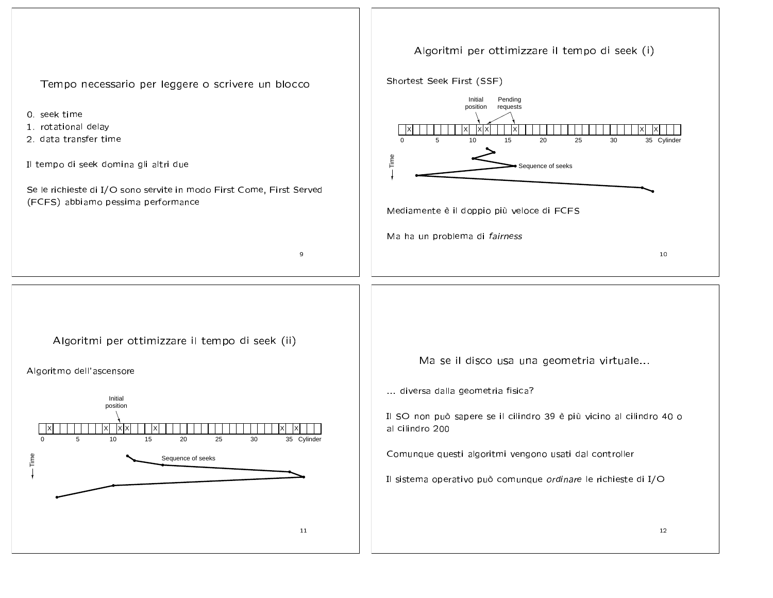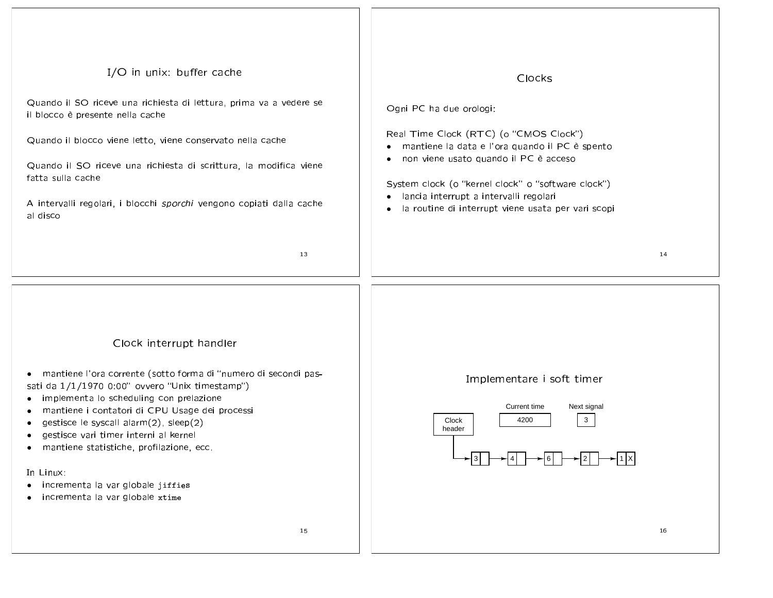| I/O in unix: buffer cache<br>Quando il SO riceve una richiesta di lettura, prima va a vedere se<br>il blocco è presente nella cache<br>Quando il blocco viene letto, viene conservato nella cache<br>Quando il SO riceve una richiesta di scrittura, la modifica viene<br>fatta sulla cache<br>A intervalli regolari, i blocchi sporchi vengono copiati dalla cache<br>al disco                                                                                                 | Clocks<br>Ogni PC ha due orologi:<br>Real Time Clock (RTC) (o "CMOS Clock")<br>mantiene la data e l'ora quando il PC è spento<br>non viene usato quando il PC è acceso<br>٠<br>System clock (o "kernel clock" o "software clock")<br>lancia interrupt a intervalli regolari<br>la routine di interrupt viene usata per vari scopi<br>$\bullet$ |
|---------------------------------------------------------------------------------------------------------------------------------------------------------------------------------------------------------------------------------------------------------------------------------------------------------------------------------------------------------------------------------------------------------------------------------------------------------------------------------|------------------------------------------------------------------------------------------------------------------------------------------------------------------------------------------------------------------------------------------------------------------------------------------------------------------------------------------------|
| 13                                                                                                                                                                                                                                                                                                                                                                                                                                                                              | 14                                                                                                                                                                                                                                                                                                                                             |
| Clock interrupt handler<br>· mantiene l'ora corrente (sotto forma di "numero di secondi pas-<br>sati da 1/1/1970 0:00" ovvero "Unix timestamp")<br>implementa lo scheduling con prelazione<br>mantiene i contatori di CPU Usage dei processi<br>gestisce le syscall alarm(2), sleep(2)<br>gestisce vari timer interni al kernel<br>mantiene statistiche, profilazione, ecc.<br>$\bullet$<br>In Linux:<br>• incrementa la var globale jiffies<br>incrementa la var globale xtime | Implementare i soft timer<br>Current time<br>Next signal<br>$\mathbf{3}$<br>4200<br>Clock<br>header<br>$\sqrt{1 x }$                                                                                                                                                                                                                           |
| 15                                                                                                                                                                                                                                                                                                                                                                                                                                                                              | 16                                                                                                                                                                                                                                                                                                                                             |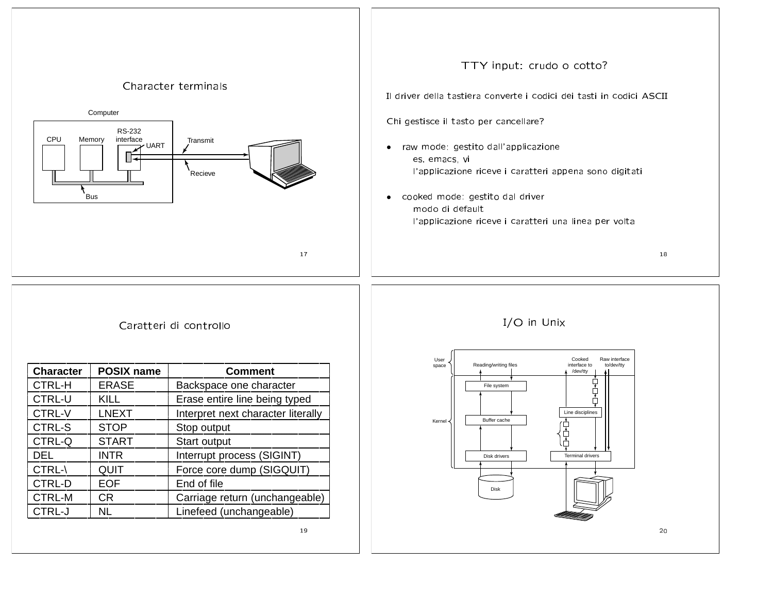

## + +)/ +././

| <b>Character</b> | <b>POSIX name</b> | <b>Comment</b>                     |
|------------------|-------------------|------------------------------------|
| <b>CTRL-H</b>    | <b>ERASE</b>      | Backspace one character            |
| <b>CTRL-U</b>    | <b>KILL</b>       | Erase entire line being typed      |
| <b>CTRL-V</b>    | <b>LNEXT</b>      | Interpret next character literally |
| <b>CTRL-S</b>    | <b>STOP</b>       | Stop output                        |
| CTRL-Q           | <b>START</b>      | Start output                       |
| <b>DEL</b>       | <b>INTR</b>       | Interrupt process (SIGINT)         |
| CTRL-\           | QUIT              | Force core dump (SIGQUIT)          |
| <b>CTRL-D</b>    | <b>EOF</b>        | End of file                        |
| <b>CTRL-M</b>    | CR.               | Carriage return (unchangeable)     |
| CTRL-J           | NL.               | Linefeed (unchangeable)            |
|                  |                   | 19                                 |

## -



&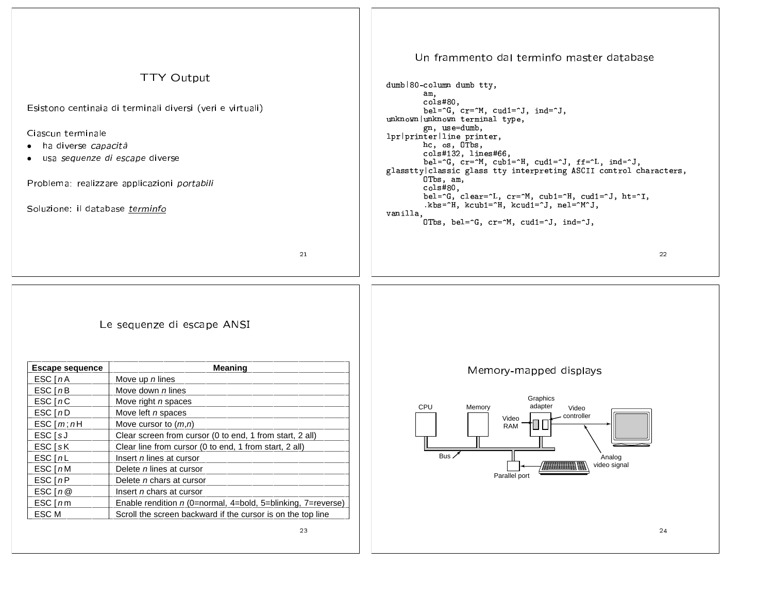| <b>TTY Output</b><br>Esistono centinaia di terminali diversi (veri e virtuali)<br>Ciascun terminale<br>ha diverse capacità<br>usa sequenze di escape diverse<br>Problema: realizzare applicazioni portabili<br>Soluzione: il database terminfo |                                                              | Un frammento dal terminfo master database<br>dumb   80-column dumb tty,<br>am,<br>cols#80,<br>bel=^G, cr=^M, cud1=^J, ind=^J,<br>unknown unknown terminal type,<br>gn, use=dumb,<br>lpr printer line printer,<br>hc, os, OTbs,<br>cols#132, lines#66,<br>bel=^G, cr=^M, cub1=^H, cud1=^J, ff=^L, ind=^J,<br>glasstty classic glass tty interpreting ASCII control characters,<br>OTbs, am,<br>cols#80.<br>bel=^G, clear=^L, cr=^M, cub1=^H, cud1=^J, ht=^I,<br>.kbs=^H, kcub1=^H, kcud1=^J, nel=^M^J,<br>vanilla,<br>OTbs, bel= $\hat{G}$ , cr= $\hat{M}$ , cud1= $\hat{J}$ , ind= $\hat{J}$ , |
|------------------------------------------------------------------------------------------------------------------------------------------------------------------------------------------------------------------------------------------------|--------------------------------------------------------------|------------------------------------------------------------------------------------------------------------------------------------------------------------------------------------------------------------------------------------------------------------------------------------------------------------------------------------------------------------------------------------------------------------------------------------------------------------------------------------------------------------------------------------------------------------------------------------------------|
| 21                                                                                                                                                                                                                                             |                                                              | 22                                                                                                                                                                                                                                                                                                                                                                                                                                                                                                                                                                                             |
|                                                                                                                                                                                                                                                | Le sequenze di escape ANSI                                   |                                                                                                                                                                                                                                                                                                                                                                                                                                                                                                                                                                                                |
| <b>Escape sequence</b>                                                                                                                                                                                                                         | <b>Meaning</b>                                               | Memory-mapped displays                                                                                                                                                                                                                                                                                                                                                                                                                                                                                                                                                                         |
| ESC[ <i>n</i> A                                                                                                                                                                                                                                | Move up n lines                                              |                                                                                                                                                                                                                                                                                                                                                                                                                                                                                                                                                                                                |
| ESC[nB]                                                                                                                                                                                                                                        | Move down n lines                                            | Graphics                                                                                                                                                                                                                                                                                                                                                                                                                                                                                                                                                                                       |
| ESC[nc]                                                                                                                                                                                                                                        | Move right n spaces                                          | adapter<br><b>CPU</b><br>Memory<br>Video                                                                                                                                                                                                                                                                                                                                                                                                                                                                                                                                                       |
| ESC[ <i>nD</i> ]                                                                                                                                                                                                                               | Move left <i>n</i> spaces                                    | controller<br>Video                                                                                                                                                                                                                                                                                                                                                                                                                                                                                                                                                                            |
| ESC[m; nH]                                                                                                                                                                                                                                     | Move cursor to $(m, n)$                                      | RAM                                                                                                                                                                                                                                                                                                                                                                                                                                                                                                                                                                                            |
| ESC [sJ                                                                                                                                                                                                                                        | Clear screen from cursor (0 to end, 1 from start, 2 all)     |                                                                                                                                                                                                                                                                                                                                                                                                                                                                                                                                                                                                |
| ESC [sK                                                                                                                                                                                                                                        | Clear line from cursor (0 to end, 1 from start, 2 all)       |                                                                                                                                                                                                                                                                                                                                                                                                                                                                                                                                                                                                |
| ESC[nL]                                                                                                                                                                                                                                        | Insert n lines at cursor                                     | Bus.<br>Analog<br>video signal                                                                                                                                                                                                                                                                                                                                                                                                                                                                                                                                                                 |
| ESC[nM]                                                                                                                                                                                                                                        | Delete n lines at cursor                                     | Parallel port                                                                                                                                                                                                                                                                                                                                                                                                                                                                                                                                                                                  |
| ESC[nP]                                                                                                                                                                                                                                        | Delete n chars at cursor                                     |                                                                                                                                                                                                                                                                                                                                                                                                                                                                                                                                                                                                |
| ESC $[n@]$                                                                                                                                                                                                                                     | Insert <i>n</i> chars at cursor                              |                                                                                                                                                                                                                                                                                                                                                                                                                                                                                                                                                                                                |
| $ESC$ [ $nm$ ]                                                                                                                                                                                                                                 | Enable rendition n (0=normal, 4=bold, 5=blinking, 7=reverse) |                                                                                                                                                                                                                                                                                                                                                                                                                                                                                                                                                                                                |
| ESC M                                                                                                                                                                                                                                          | Scroll the screen backward if the cursor is on the top line  |                                                                                                                                                                                                                                                                                                                                                                                                                                                                                                                                                                                                |
|                                                                                                                                                                                                                                                | 23                                                           | 24                                                                                                                                                                                                                                                                                                                                                                                                                                                                                                                                                                                             |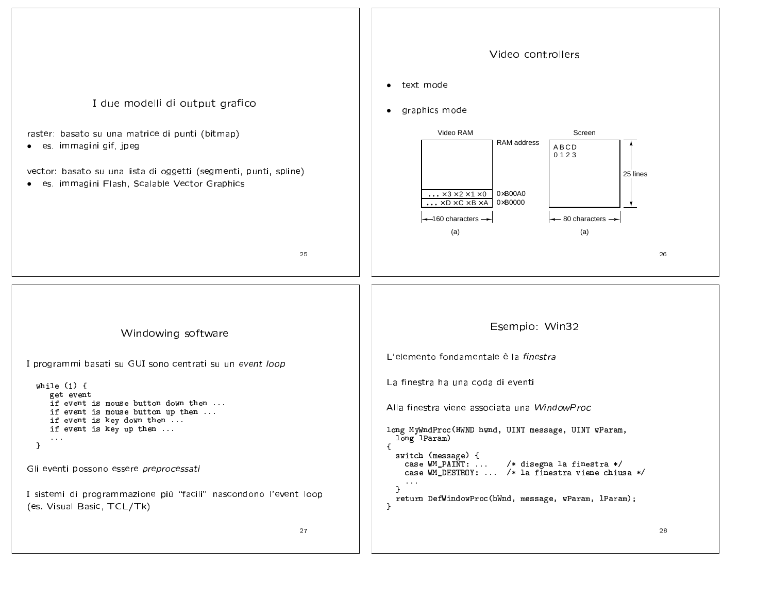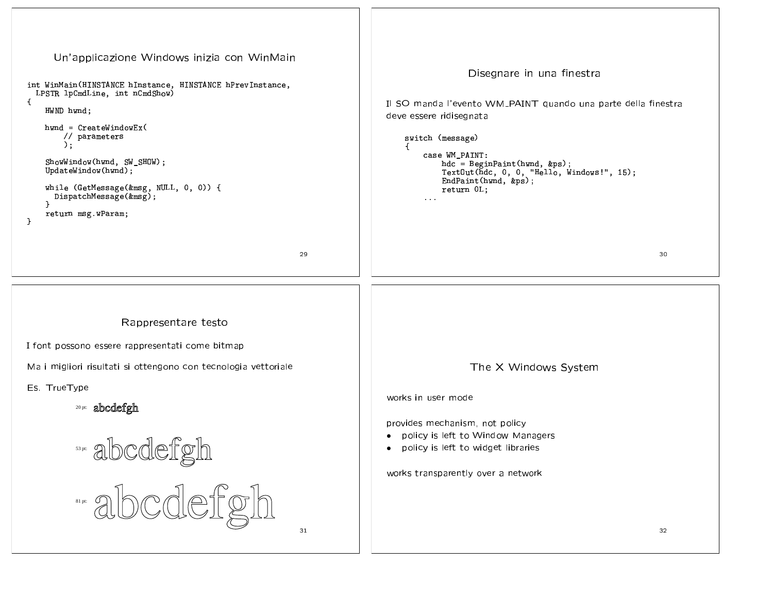